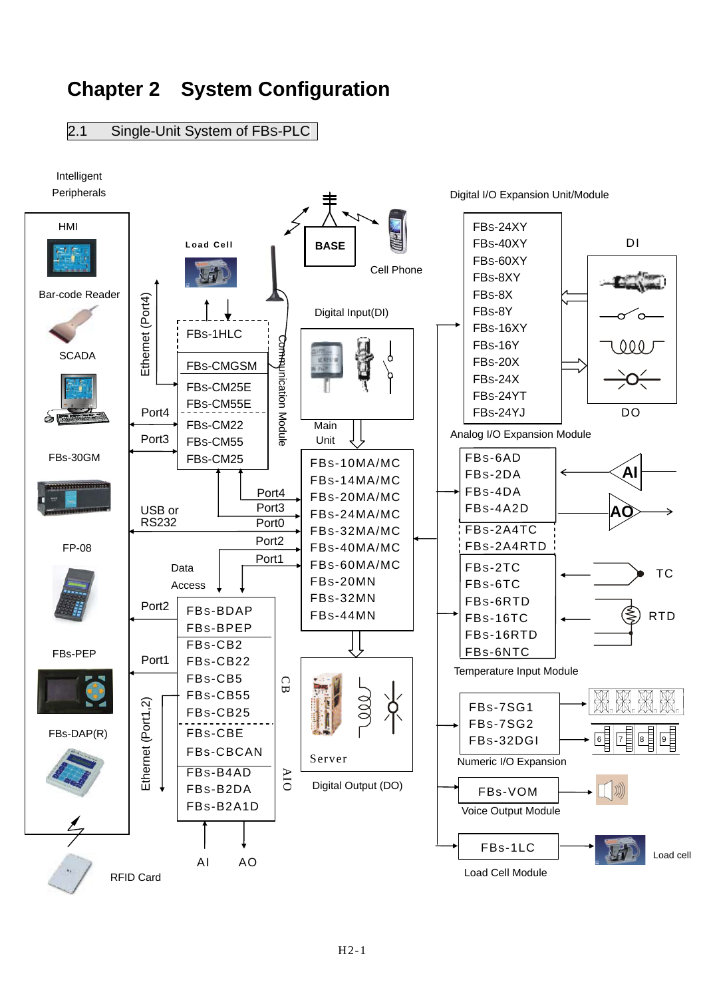## **Chapter 2 System Configuration**

2.1 Single-Unit System of FBS-PLC

Intelligent

Peripherals

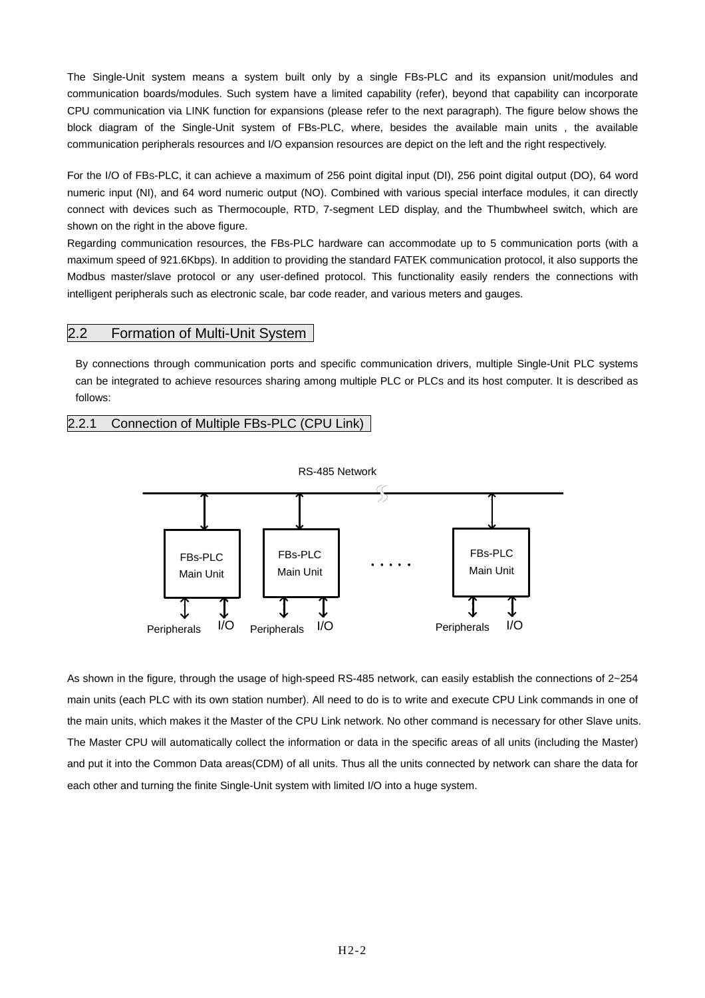The Single-Unit system means a system built only by a single FBs-PLC and its expansion unit/modules and communication boards/modules. Such system have a limited capability (refer), beyond that capability can incorporate CPU communication via LINK function for expansions (please refer to the next paragraph). The figure below shows the block diagram of the Single-Unit system of FBs-PLC, where, besides the available main units , the available communication peripherals resources and I/O expansion resources are depict on the left and the right respectively.

For the I/O of FBs-PLC, it can achieve a maximum of 256 point digital input (DI), 256 point digital output (DO), 64 word numeric input (NI), and 64 word numeric output (NO). Combined with various special interface modules, it can directly connect with devices such as Thermocouple, RTD, 7-segment LED display, and the Thumbwheel switch, which are shown on the right in the above figure.

Regarding communication resources, the FBs-PLC hardware can accommodate up to 5 communication ports (with a maximum speed of 921.6Kbps). In addition to providing the standard FATEK communication protocol, it also supports the Modbus master/slave protocol or any user-defined protocol. This functionality easily renders the connections with intelligent peripherals such as electronic scale, bar code reader, and various meters and gauges.

## 2.2 Formation of Multi-Unit System

By connections through communication ports and specific communication drivers, multiple Single-Unit PLC systems can be integrated to achieve resources sharing among multiple PLC or PLCs and its host computer. It is described as follows:

## 2.2.1 Connection of Multiple FBs-PLC (CPU Link)



As shown in the figure, through the usage of high-speed RS-485 network, can easily establish the connections of 2~254 main units (each PLC with its own station number). All need to do is to write and execute CPU Link commands in one of the main units, which makes it the Master of the CPU Link network. No other command is necessary for other Slave units. The Master CPU will automatically collect the information or data in the specific areas of all units (including the Master) and put it into the Common Data areas(CDM) of all units. Thus all the units connected by network can share the data for each other and turning the finite Single-Unit system with limited I/O into a huge system.